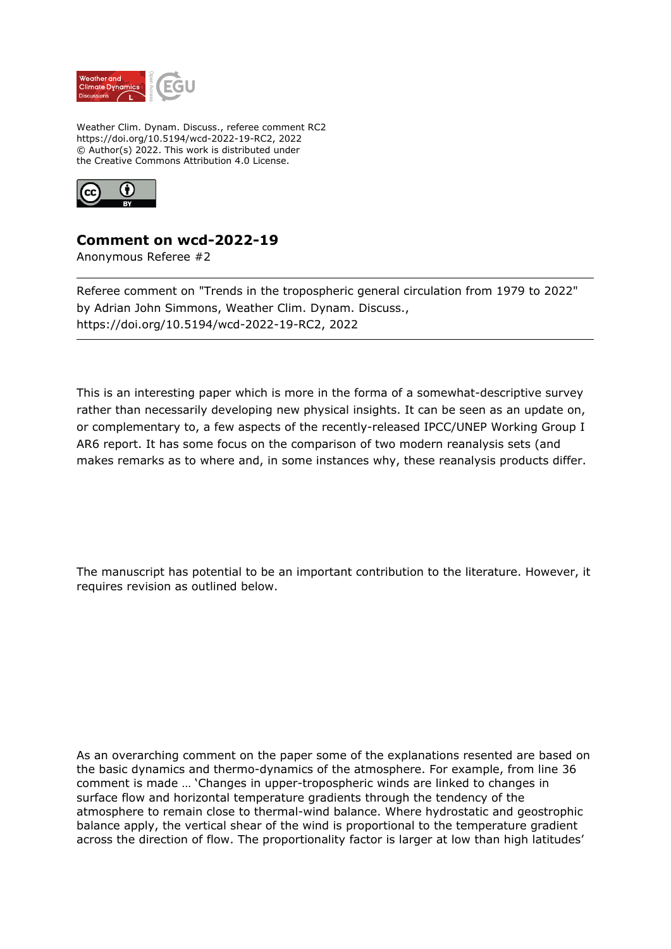

Weather Clim. Dynam. Discuss., referee comment RC2 https://doi.org/10.5194/wcd-2022-19-RC2, 2022 © Author(s) 2022. This work is distributed under the Creative Commons Attribution 4.0 License.



## **Comment on wcd-2022-19**

Anonymous Referee #2

Referee comment on "Trends in the tropospheric general circulation from 1979 to 2022" by Adrian John Simmons, Weather Clim. Dynam. Discuss., https://doi.org/10.5194/wcd-2022-19-RC2, 2022

This is an interesting paper which is more in the forma of a somewhat-descriptive survey rather than necessarily developing new physical insights. It can be seen as an update on, or complementary to, a few aspects of the recently-released IPCC/UNEP Working Group I AR6 report. It has some focus on the comparison of two modern reanalysis sets (and makes remarks as to where and, in some instances why, these reanalysis products differ.

The manuscript has potential to be an important contribution to the literature. However, it requires revision as outlined below.

As an overarching comment on the paper some of the explanations resented are based on the basic dynamics and thermo-dynamics of the atmosphere. For example, from line 36 comment is made … 'Changes in upper-tropospheric winds are linked to changes in surface flow and horizontal temperature gradients through the tendency of the atmosphere to remain close to thermal-wind balance. Where hydrostatic and geostrophic balance apply, the vertical shear of the wind is proportional to the temperature gradient across the direction of flow. The proportionality factor is larger at low than high latitudes'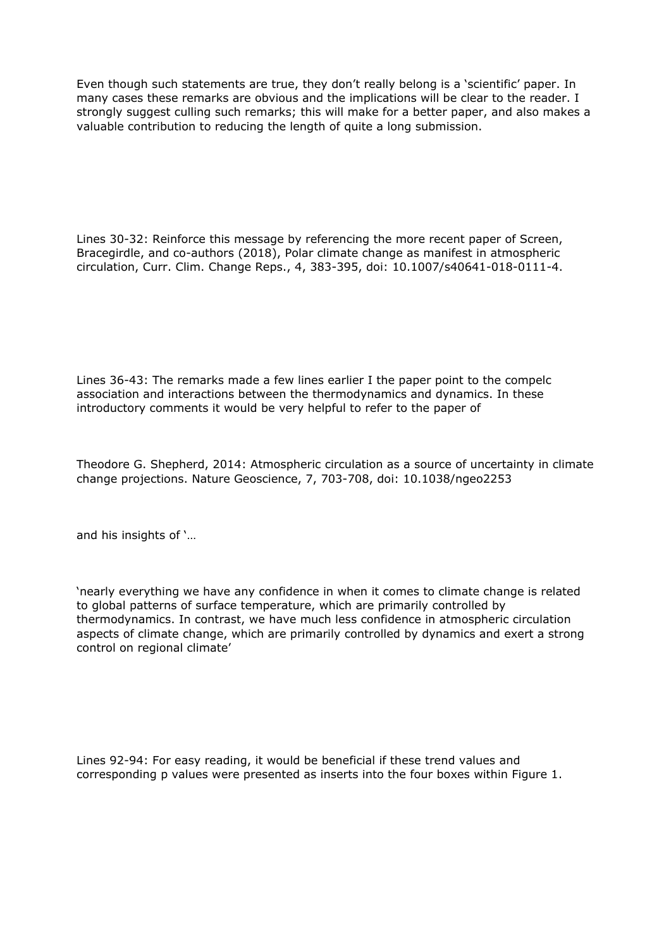Even though such statements are true, they don't really belong is a 'scientific' paper. In many cases these remarks are obvious and the implications will be clear to the reader. I strongly suggest culling such remarks; this will make for a better paper, and also makes a valuable contribution to reducing the length of quite a long submission.

Lines 30-32: Reinforce this message by referencing the more recent paper of Screen, Bracegirdle, and co-authors (2018), Polar climate change as manifest in atmospheric circulation, Curr. Clim. Change Reps., 4, 383-395, doi: 10.1007/s40641-018-0111-4.

Lines 36-43: The remarks made a few lines earlier I the paper point to the compelc association and interactions between the thermodynamics and dynamics. In these introductory comments it would be very helpful to refer to the paper of

Theodore G. Shepherd, 2014: Atmospheric circulation as a source of uncertainty in climate change projections. Nature Geoscience, 7, 703-708, doi: 10.1038/ngeo2253

and his insights of '…

'nearly everything we have any confidence in when it comes to climate change is related to global patterns of surface temperature, which are primarily controlled by thermodynamics. In contrast, we have much less confidence in atmospheric circulation aspects of climate change, which are primarily controlled by dynamics and exert a strong control on regional climate'

Lines 92-94: For easy reading, it would be beneficial if these trend values and corresponding p values were presented as inserts into the four boxes within Figure 1.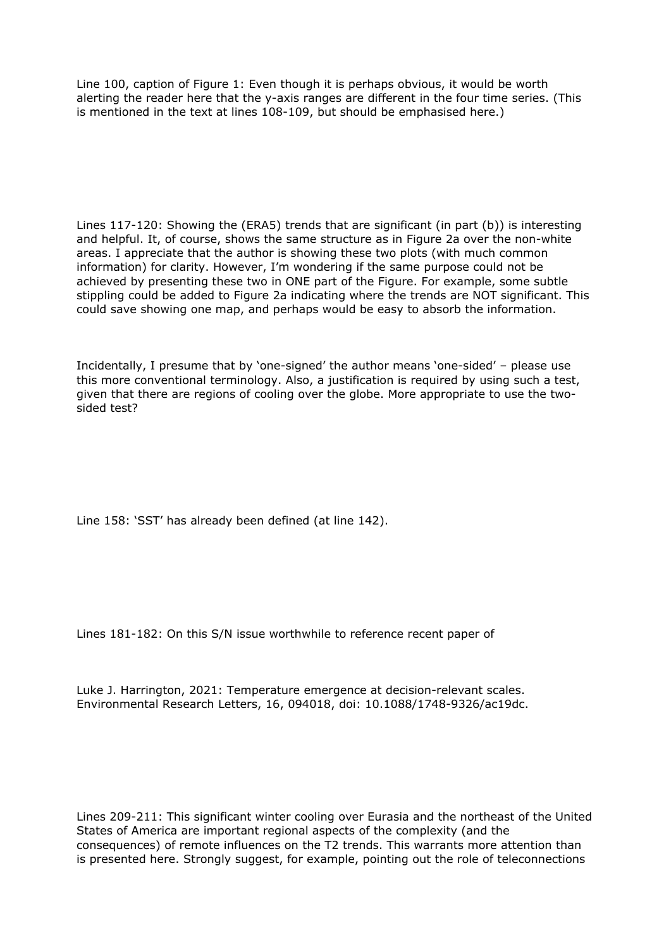Line 100, caption of Figure 1: Even though it is perhaps obvious, it would be worth alerting the reader here that the y-axis ranges are different in the four time series. (This is mentioned in the text at lines 108-109, but should be emphasised here.)

Lines 117-120: Showing the (ERA5) trends that are significant (in part (b)) is interesting and helpful. It, of course, shows the same structure as in Figure 2a over the non-white areas. I appreciate that the author is showing these two plots (with much common information) for clarity. However, I'm wondering if the same purpose could not be achieved by presenting these two in ONE part of the Figure. For example, some subtle stippling could be added to Figure 2a indicating where the trends are NOT significant. This could save showing one map, and perhaps would be easy to absorb the information.

Incidentally, I presume that by 'one-signed' the author means 'one-sided' – please use this more conventional terminology. Also, a justification is required by using such a test, given that there are regions of cooling over the globe. More appropriate to use the twosided test?

Line 158: 'SST' has already been defined (at line 142).

Lines 181-182: On this S/N issue worthwhile to reference recent paper of

Luke J. Harrington, 2021: Temperature emergence at decision-relevant scales. Environmental Research Letters, 16, 094018, doi: 10.1088/1748-9326/ac19dc.

Lines 209-211: This significant winter cooling over Eurasia and the northeast of the United States of America are important regional aspects of the complexity (and the consequences) of remote influences on the T2 trends. This warrants more attention than is presented here. Strongly suggest, for example, pointing out the role of teleconnections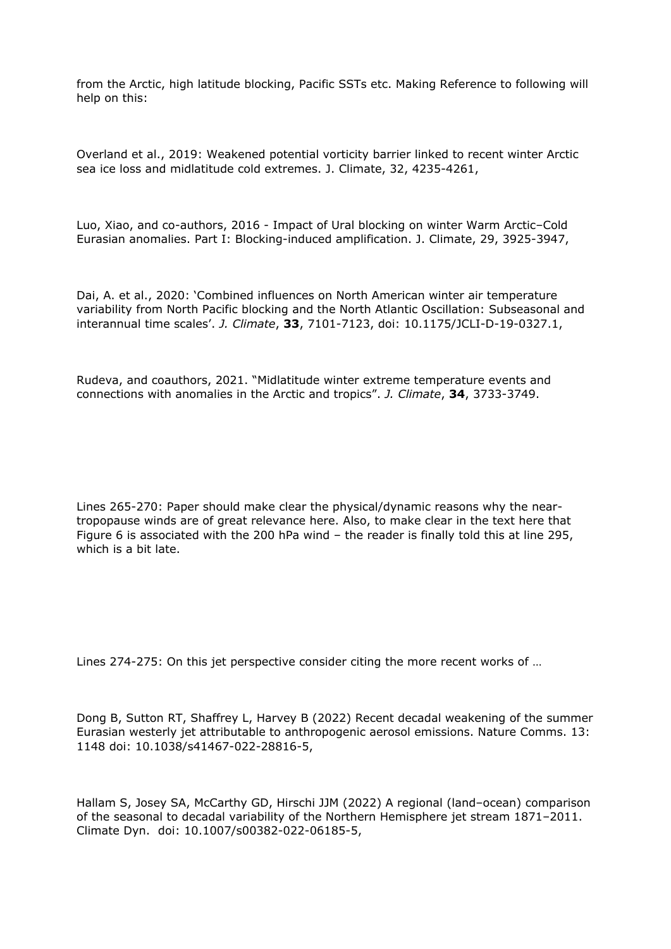from the Arctic, high latitude blocking, Pacific SSTs etc. Making Reference to following will help on this:

Overland et al., 2019: Weakened potential vorticity barrier linked to recent winter Arctic sea ice loss and midlatitude cold extremes. J. Climate, 32, 4235-4261,

Luo, Xiao, and co-authors, 2016 - Impact of Ural blocking on winter Warm Arctic–Cold Eurasian anomalies. Part I: Blocking-induced amplification. J. Climate, 29, 3925-3947,

Dai, A. et al., 2020: 'Combined influences on North American winter air temperature variability from North Pacific blocking and the North Atlantic Oscillation: Subseasonal and interannual time scales'. *J. Climate*, **33**, 7101-7123, doi: 10.1175/JCLI-D-19-0327.1,

Rudeva, and coauthors, 2021. "Midlatitude winter extreme temperature events and connections with anomalies in the Arctic and tropics". *J. Climate*, **34**, 3733-3749.

Lines 265-270: Paper should make clear the physical/dynamic reasons why the neartropopause winds are of great relevance here. Also, to make clear in the text here that Figure 6 is associated with the 200 hPa wind – the reader is finally told this at line 295, which is a bit late.

Lines 274-275: On this jet perspective consider citing the more recent works of …

Dong B, Sutton RT, Shaffrey L, Harvey B (2022) Recent decadal weakening of the summer Eurasian westerly jet attributable to anthropogenic aerosol emissions. Nature Comms. 13: 1148 doi: 10.1038/s41467-022-28816-5,

Hallam S, Josey SA, McCarthy GD, Hirschi JJM (2022) A regional (land–ocean) comparison of the seasonal to decadal variability of the Northern Hemisphere jet stream 1871–2011. Climate Dyn. doi: 10.1007/s00382-022-06185-5,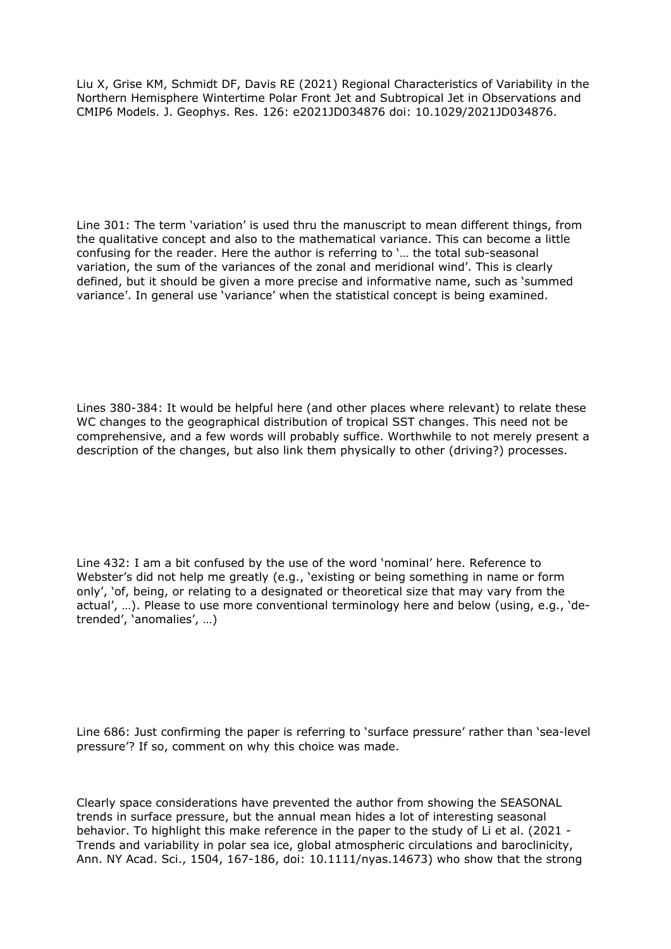Liu X, Grise KM, Schmidt DF, Davis RE (2021) Regional Characteristics of Variability in the Northern Hemisphere Wintertime Polar Front Jet and Subtropical Jet in Observations and CMIP6 Models. J. Geophys. Res. 126: e2021JD034876 doi: 10.1029/2021JD034876.

Line 301: The term 'variation' is used thru the manuscript to mean different things, from the qualitative concept and also to the mathematical variance. This can become a little confusing for the reader. Here the author is referring to '… the total sub-seasonal variation, the sum of the variances of the zonal and meridional wind'. This is clearly defined, but it should be given a more precise and informative name, such as 'summed variance'. In general use 'variance' when the statistical concept is being examined.

Lines 380-384: It would be helpful here (and other places where relevant) to relate these WC changes to the geographical distribution of tropical SST changes. This need not be comprehensive, and a few words will probably suffice. Worthwhile to not merely present a description of the changes, but also link them physically to other (driving?) processes.

Line 432: I am a bit confused by the use of the word 'nominal' here. Reference to Webster's did not help me greatly (e.g., 'existing or being something in name or form only', 'of, being, or relating to a designated or theoretical size that may vary from the actual', …). Please to use more conventional terminology here and below (using, e.g., 'detrended', 'anomalies', …)

Line 686: Just confirming the paper is referring to 'surface pressure' rather than 'sea-level pressure'? If so, comment on why this choice was made.

Clearly space considerations have prevented the author from showing the SEASONAL trends in surface pressure, but the annual mean hides a lot of interesting seasonal behavior. To highlight this make reference in the paper to the study of Li et al. (2021 - Trends and variability in polar sea ice, global atmospheric circulations and baroclinicity, Ann. NY Acad. Sci., 1504, 167-186, doi: 10.1111/nyas.14673) who show that the strong